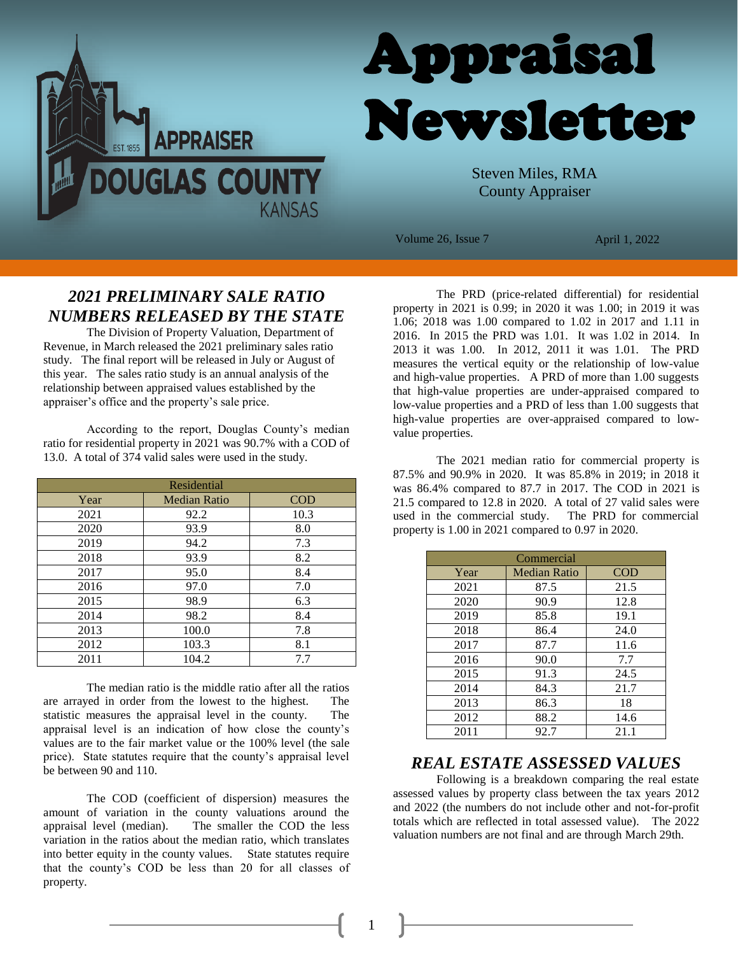



Steven Miles, RMA County Appraiser

Volume 26, Issue 7 April 1, 2022

# *2021 PRELIMINARY SALE RATIO NUMBERS RELEASED BY THE STATE*

The Division of Property Valuation, Department of Revenue, in March released the 2021 preliminary sales ratio study. The final report will be released in July or August of this year. The sales ratio study is an annual analysis of the relationship between appraised values established by the appraiser's office and the property's sale price.

According to the report, Douglas County's median ratio for residential property in 2021 was 90.7% with a COD of 13.0. A total of 374 valid sales were used in the study.

| Residential |                     |            |  |
|-------------|---------------------|------------|--|
| Year        | <b>Median Ratio</b> | <b>COD</b> |  |
| 2021        | 92.2                | 10.3       |  |
| 2020        | 93.9                | 8.0        |  |
| 2019        | 94.2                | 7.3        |  |
| 2018        | 93.9                | 8.2        |  |
| 2017        | 95.0                | 8.4        |  |
| 2016        | 97.0                | 7.0        |  |
| 2015        | 98.9                | 6.3        |  |
| 2014        | 98.2                | 8.4        |  |
| 2013        | 100.0               | 7.8        |  |
| 2012        | 103.3               | 8.1        |  |
| 2011        | 104.2               | 7.7        |  |

The median ratio is the middle ratio after all the ratios are arrayed in order from the lowest to the highest. The statistic measures the appraisal level in the county. The appraisal level is an indication of how close the county's values are to the fair market value or the 100% level (the sale price). State statutes require that the county's appraisal level be between 90 and 110.

The COD (coefficient of dispersion) measures the amount of variation in the county valuations around the appraisal level (median). The smaller the COD the less variation in the ratios about the median ratio, which translates into better equity in the county values. State statutes require that the county's COD be less than 20 for all classes of property.

The PRD (price-related differential) for residential property in 2021 is 0.99; in 2020 it was 1.00; in 2019 it was 1.06; 2018 was 1.00 compared to 1.02 in 2017 and 1.11 in 2016. In 2015 the PRD was 1.01. It was 1.02 in 2014. In 2013 it was 1.00. In 2012, 2011 it was 1.01. The PRD measures the vertical equity or the relationship of low-value and high-value properties. A PRD of more than 1.00 suggests that high-value properties are under-appraised compared to low-value properties and a PRD of less than 1.00 suggests that high-value properties are over-appraised compared to lowvalue properties.

The 2021 median ratio for commercial property is 87.5% and 90.9% in 2020. It was 85.8% in 2019; in 2018 it was 86.4% compared to 87.7 in 2017. The COD in 2021 is 21.5 compared to 12.8 in 2020. A total of 27 valid sales were used in the commercial study. The PRD for commercial property is 1.00 in 2021 compared to 0.97 in 2020.

| Commercial |                     |            |  |
|------------|---------------------|------------|--|
| Year       | <b>Median Ratio</b> | <b>COD</b> |  |
| 2021       | 87.5                | 21.5       |  |
| 2020       | 90.9                | 12.8       |  |
| 2019       | 85.8                | 19.1       |  |
| 2018       | 86.4                | 24.0       |  |
| 2017       | 87.7                | 11.6       |  |
| 2016       | 90.0                | 7.7        |  |
| 2015       | 91.3                | 24.5       |  |
| 2014       | 84.3                | 21.7       |  |
| 2013       | 86.3                | 18         |  |
| 2012       | 88.2                | 14.6       |  |
| 2011       | 92.7                | 21.1       |  |

### *REAL ESTATE ASSESSED VALUES*

Following is a breakdown comparing the real estate assessed values by property class between the tax years 2012 and 2022 (the numbers do not include other and not-for-profit totals which are reflected in total assessed value). The 2022 valuation numbers are not final and are through March 29th.

1